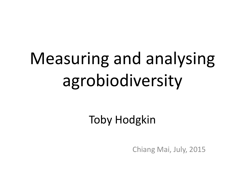# Measuring and analysing agrobiodiversity

Toby Hodgkin

Chiang Mai, July, 2015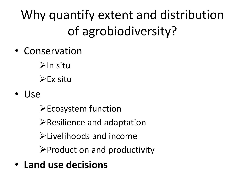Why quantify extent and distribution of agrobiodiversity?

• Conservation

 $\triangleright$ In situ  $\triangleright$  Ex situ

• Use

Ecosystem function

 $\triangleright$  Resilience and adaptation

Livelihoods and income

 $\triangleright$  Production and productivity

• **Land use decisions**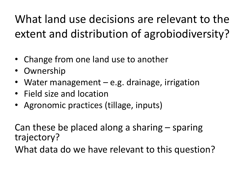What land use decisions are relevant to the extent and distribution of agrobiodiversity?

- Change from one land use to another
- Ownership
- Water management e.g. drainage, irrigation
- Field size and location
- Agronomic practices (tillage, inputs)

Can these be placed along a sharing – sparing trajectory? What data do we have relevant to this question?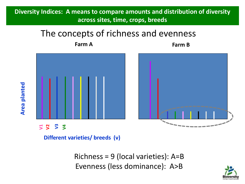#### **Diversity Indices: A means to compare amounts and distribution of diversity across sites, time, crops, breeds**

#### The concepts of richness and evenness

**Farm A Farm B**



**Different varieties/ breeds (v)**

**Area planted**

Richness = 9 (local varieties): A=B Evenness (less dominance): A>B

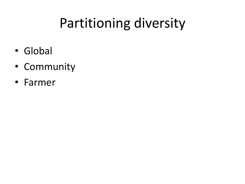# Partitioning diversity

- Global
- Community
- Farmer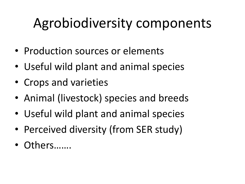# Agrobiodiversity components

- Production sources or elements
- Useful wild plant and animal species
- Crops and varieties
- Animal (livestock) species and breeds
- Useful wild plant and animal species
- Perceived diversity (from SER study)
- Others……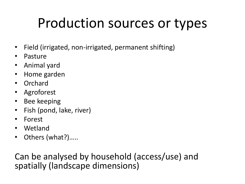### Production sources or types

- Field (irrigated, non-irrigated, permanent shifting)
- Pasture
- Animal yard
- Home garden
- Orchard
- Agroforest
- Bee keeping
- Fish (pond, lake, river)
- Forest
- Wetland
- Others (what?).....

Can be analysed by household (access/use) and spatially (landscape dimensions)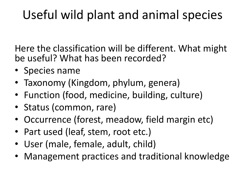### Useful wild plant and animal species

Here the classification will be different. What might be useful? What has been recorded?

- Species name
- Taxonomy (Kingdom, phylum, genera)
- Function (food, medicine, building, culture)
- Status (common, rare)
- Occurrence (forest, meadow, field margin etc)
- Part used (leaf, stem, root etc.)
- User (male, female, adult, child)
- Management practices and traditional knowledge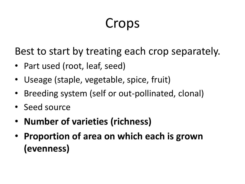# Crops

Best to start by treating each crop separately.

- Part used (root, leaf, seed)
- Useage (staple, vegetable, spice, fruit)
- Breeding system (self or out-pollinated, clonal)
- Seed source
- **Number of varieties (richness)**
- **Proportion of area on which each is grown (evenness)**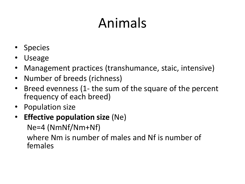# Animals

- Species
- Useage
- Management practices (transhumance, staic, intensive)
- Number of breeds (richness)
- Breed evenness (1- the sum of the square of the percent frequency of each breed)
- Population size
- **Effective population size** (Ne)

Ne=4 (NmNf/Nm+Nf)

where Nm is number of males and Nf is number of females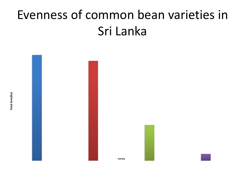### Evenness of common bean varieties in Sri Lanka



**Total Area(ha) Total Area(ha)**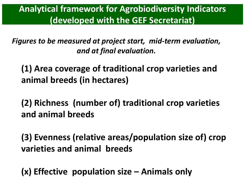**Analytical framework for Agrobiodiversity Indicators (developed with the GEF Secretariat)** 

*Figures to be measured at project start, mid-term evaluation, and at final evaluation.*

**(1) Area coverage of traditional crop varieties and animal breeds (in hectares)**

**(2) Richness (number of) traditional crop varieties and animal breeds**

**(3) Evenness (relative areas/population size of) crop varieties and animal breeds**

**(x) Effective population size – Animals only**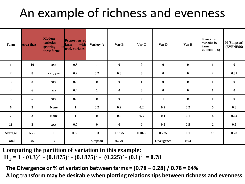#### An example of richness and evenness

| Farm                    | Area (ha)    | <b>Modern</b><br>varieties<br>growing<br>these farms | <b>Proportion</b> of<br>with<br>farm<br>on trad. varieties | <b>Variety A</b> | Var B    | Var C        | Var D             | Var E     | Number of<br>varieties by<br>farm<br>(RICHNESS) | H (Simpson)<br>(EVENESS) |
|-------------------------|--------------|------------------------------------------------------|------------------------------------------------------------|------------------|----------|--------------|-------------------|-----------|-------------------------------------------------|--------------------------|
| $\mathbf{1}$            | 10           | <b>XXX</b>                                           | 0.5                                                        | $\mathbf{1}$     | $\bf{0}$ | $\bf{0}$     | $\bf{0}$          | $\bf{0}$  | $\mathbf{1}$                                    | $\bf{0}$                 |
| $\overline{2}$          | $\bf 8$      | xxx, yyy                                             | 0.2                                                        | 0.2              | $0.8\,$  | $\bf{0}$     | $\bf{0}$          | $\pmb{0}$ | $\overline{2}$                                  | 0.32                     |
| 3 <sup>1</sup>          | 8            | <b>XXX</b>                                           | 0.3                                                        | $\bf{0}$         | $\bf{0}$ | $\mathbf{1}$ | $\bf{0}$          | $\bf{0}$  | $\mathbf{1}$                                    | $\bf{0}$                 |
| $\overline{\mathbf{4}}$ | 6            | <b>ZZZ</b>                                           | 0.4                                                        | $\mathbf{1}$     | $\bf{0}$ | $\bf{0}$     | $\bf{0}$          | $\bf{0}$  | $\mathbf{1}$                                    | $\bf{0}$                 |
| $5\phantom{.0}$         | $\sqrt{5}$   | <b>XXX</b>                                           | 0.3                                                        | $\pmb{0}$        | $\bf{0}$ | $\bf{0}$     | $\mathbf{1}$      | $\pmb{0}$ | $\mathbf{1}$                                    | $\bf{0}$                 |
| 6                       | $\mathbf{3}$ | <b>None</b>                                          | $\mathbf{1}$                                               | 0.2              | 0.2      | 0.2          | 0.2               | 0.2       | 5                                               | $0.8\,$                  |
| $\overline{7}$          | $\mathbf{3}$ | <b>None</b>                                          | $\mathbf{1}$                                               | $\bf{0}$         | 0.5      | 0.3          | 0.1               | 0.1       | $\overline{\mathbf{4}}$                         | 0.64                     |
| 11                      | $\mathbf{3}$ | <b>XXX</b>                                           | 0.7                                                        | $\bf{0}$         | $\bf{0}$ | $\bf{0}$     | 0.5               | 0.5       | $\overline{2}$                                  | 0.5                      |
| Average                 | 5.75         | $\mathbf{1}$                                         | 0.55                                                       | 0.3              | 0.1875   | 0.1875       | 0.225             | 0.1       | 2.1                                             | 0.28                     |
| <b>Total</b>            | 46           | $\overline{\mathbf{3}}$                              |                                                            | <b>Simpson</b>   | 0.779    |              | <b>Divergence</b> | 0.64      |                                                 |                          |

**Computing the partition of variation in this example: H**<sub>**T</sub> = 1 ·**  $(0.3)^2$  **·**  $(0.1875)^2$  **·**  $(0.1875)^2$  **·**  $(0.225)^2$  **·**  $(0.1)^2$  **= 0.78</sub>** 

**The Divergence or % of variation between farms = (0.78 – 0.28) / 0.78 = 64%**

**A log transform may be desirable when plotting relationships between richness and evenness**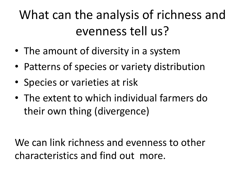### What can the analysis of richness and evenness tell us?

- The amount of diversity in a system
- Patterns of species or variety distribution
- Species or varieties at risk
- The extent to which individual farmers do their own thing (divergence)

We can link richness and evenness to other characteristics and find out more.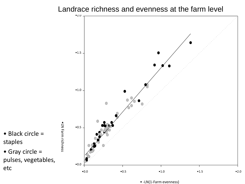#### Landrace richness and evenness at the farm level



• -LN(1-Farm evenness)

• Black circle = staples

• Gray circle = pulses, vegetables, etc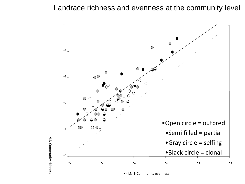#### Landrace richness and evenness at the community level



· LN Community richness LN Community richness

• - LN[1-Community evenness]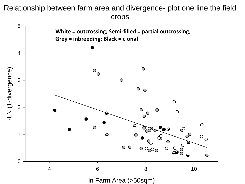#### Relationship between farm area and divergence- plot one line the field crops

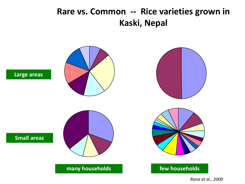#### **Rare vs. Common -- Rice varieties grown in Kaski, Nepal**



*Rana et al., 2000*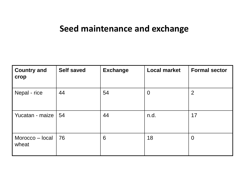#### **Seed maintenance and exchange**

| <b>Country and</b><br>crop     | <b>Self saved</b> | <b>Exchange</b> | <b>Local market</b> | <b>Formal sector</b> |
|--------------------------------|-------------------|-----------------|---------------------|----------------------|
| Nepal - rice                   | 44                | 54              | $\overline{0}$      | $\overline{2}$       |
| Yucatan - maize   54           |                   | 44              | n.d.                | 17                   |
| Morocco $-$ local $ $<br>wheat | 76                | 6               | 18                  | $\overline{0}$       |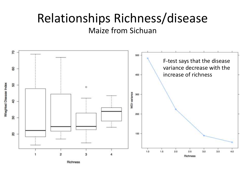#### Relationships Richness/disease Maize from Sichuan